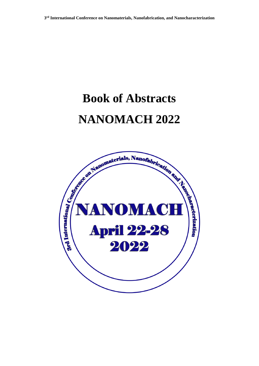# **Book of Abstracts NANOMACH 2022**

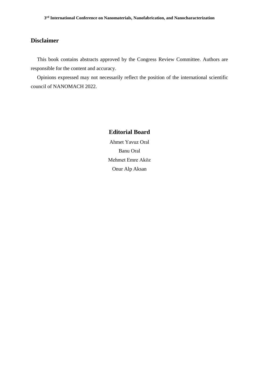## **Disclaimer**

This book contains abstracts approved by the Congress Review Committee. Authors are responsible for the content and accuracy.

Opinions expressed may not necessarily reflect the position of the international scientific council of NANOMACH 2022.

## **Editorial Board**

Ahmet Yavuz Oral Banu Oral Mehmet Emre Aköz Onur Alp Aksan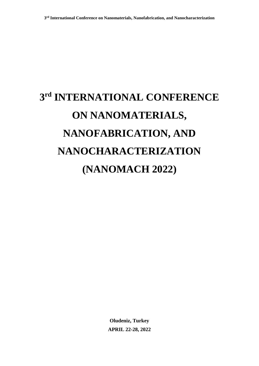# **3 rd INTERNATIONAL CONFERENCE ON NANOMATERIALS, NANOFABRICATION, AND NANOCHARACTERIZATION (NANOMACH 2022)**

**Oludeniz, Turkey APRIL 22-28, 2022**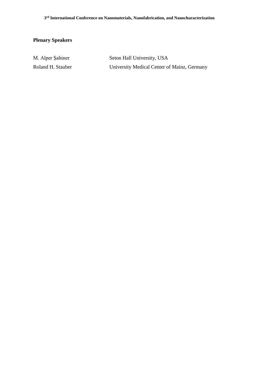## **Plenary Speakers**

| M. Alper Sahiner  | Seton Hall University, USA                  |
|-------------------|---------------------------------------------|
| Roland H. Stauber | University Medical Center of Mainz, Germany |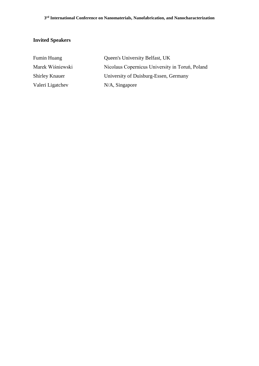## **Invited Speakers**

| <b>Fumin Huang</b>    | Queen's University Belfast, UK                  |
|-----------------------|-------------------------------------------------|
| Marek Wiśniewski      | Nicolaus Copernicus University in Toruń, Poland |
| <b>Shirley Knauer</b> | University of Duisburg-Essen, Germany           |
| Valeri Ligatchev      | $N/A$ , Singapore                               |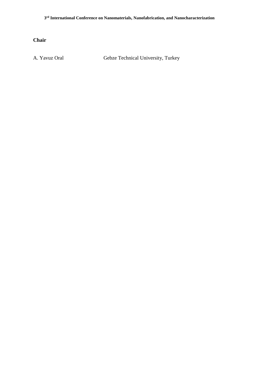**Chair**

A. Yavuz Oral Gebze Technical University, Turkey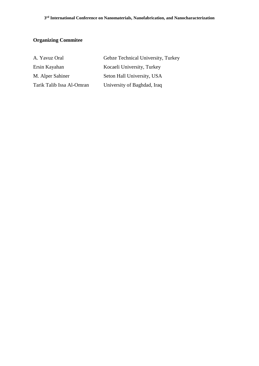## **Organizing Commitee**

| A. Yavuz Oral             | Gebze Technical University, Turkey |
|---------------------------|------------------------------------|
| Ersin Kayahan             | Kocaeli University, Turkey         |
| M. Alper Sahiner          | Seton Hall University, USA         |
| Tarik Talib Issa Al-Omran | University of Baghdad, Iraq        |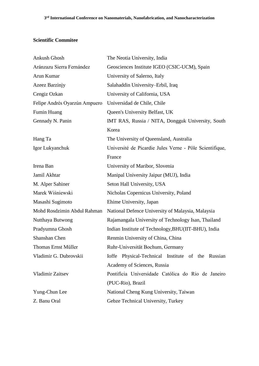## **Scientific Commitee**

| Ankush Ghosh                  | The Neotia University, India                            |
|-------------------------------|---------------------------------------------------------|
| Aránzazu Sierra Fernández     | Geosciences Institute IGEO (CSIC-UCM), Spain            |
| Arun Kumar                    | University of Salerno, Italy                            |
| Azeez Barzinjy                | Salahaddin University-Erbil, Iraq                       |
| Cengiz Ozkan                  | University of California, USA                           |
| Felipe Andrés Oyarzún Ampuero | Universidad de Chile, Chile                             |
| Fumin Huang                   | Queen's University Belfast, UK                          |
| Gennady N. Panin              | IMT RAS, Russia / NITA, Dongguk University, South       |
|                               | Korea                                                   |
| Hang Ta                       | The University of Queensland, Australia                 |
| Igor Lukyanchuk               | Université de Picardie Jules Verne - Pôle Scientifique, |
|                               | France                                                  |
| Irena Ban                     | University of Maribor, Slovenia                         |
| Jamil Akhtar                  | Manipal University Jaipur (MUJ), India                  |
| M. Alper Sahiner              | Seton Hall University, USA                              |
| Marek Wiśniewski              | Nicholas Copernicus University, Poland                  |
| Masashi Sugimoto              | Ehime University, Japan                                 |
| Mohd Rosdzimin Abdul Rahman   | National Defence University of Malaysia, Malaysia       |
| Nutthaya Butwong              | Rajamangala University of Technology Isan, Thailand     |
| Pradyumna Ghosh               | Indian Institute of Technology, BHU(IIT-BHU), India     |
| Shanshan Chen                 | Renmin University of China, China                       |
| Thomas Ernst Müller           | Ruhr-Universität Bochum, Germany                        |
| Vladimir G. Dubrovskii        | Ioffe Physical-Technical Institute of the Russian       |
|                               | Academy of Sciences, Russia                             |
| Vladimir Zaitsev              | Pontifícia Universidade Católica do Rio de Janeiro      |
|                               | (PUC-Rio), Brazil                                       |
| Yung-Chun Lee                 | National Cheng Kung University, Taiwan                  |
| Z. Banu Oral                  | Gebze Technical University, Turkey                      |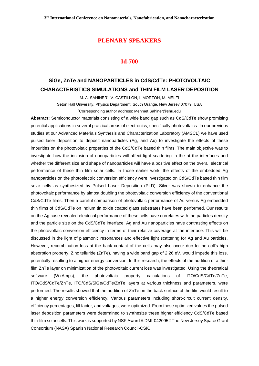## **PLENARY SPEAKERS**

## **Id-700**

## **SiGe, ZnTe and NANOPARTICLES in CdS/CdTe: PHOTOVOLTAIC CHARACTERISTICS SIMULATIONS and THIN FILM LASER DEPOSITION**

M. A. SAHINER\* , V. CASTILLON, I. MORTON, M. MELFI

Seton Hall University, Physics Department, South Orange, New Jersey 07079, USA

\*Corresponding author address: Mehmet.Sahiner@shu.edu

**Abstract:** Semiconductor materials consisting of a wide band gap such as CdS/CdTe show promising potential applications in several practical areas of electronics, specifically photovoltaics. In our previous studies at our Advanced Materials Synthesis and Characterization Laboratory (AMSCL) we have used pulsed laser deposition to deposit nanoparticles (Ag, and Au) to investigate the effects of these impurities on the photovoltaic properties of the CdS/CdTe based thin films. The main objective was to investigate how the inclusion of nanoparticles will affect light scattering in the at the interfaces and whether the different size and shape of nanoparticles will have a positive effect on the overall electrical performance of these thin film solar cells. In those earlier work, the effects of the embedded Ag nanoparticles on the photoelectric conversion efficiency were investigated on CdS/CdTe based thin film solar cells as synthesized by Pulsed Laser Deposition (PLD). Silver was shown to enhance the photovoltaic performance by almost doubling the photovoltaic conversion efficiency of the conventional CdS/CdTe films. Then a careful comparison of photovoltaic performance of Au versus Ag embedded thin films of CdS/CdTe on indium tin oxide coated glass substrates have been performed. Our results on the Ag case revealed electrical performance of these cells have correlates with the particles density and the particle size on the CdS/CdTe interface. Ag and Au nanoparticles have contrasting effects on the photovoltaic conversion efficiency in terms of their relative coverage at the interface. This will be discussed in the light of plasmonic resonances and effective light scattering for Ag and Au particles. However, recombination loss at the back contact of the cells may also occur due to the cell's high absorption property. Zinc telluride (ZnTe), having a wide band gap of 2.26 eV, would impede this loss, potentially resulting to a higher energy conversion. In this research, the effects of the addition of a thinfilm ZnTe layer on minimization of the photovoltaic current loss was investigated. Using the theoretical software (WxAmps), the photovoltaic property calculations of ITO/CdS/CdTe/ZnTe, ITO/CdS/CdTe/ZnTe, ITO/CdS/SiGe/CdTe/ZnTe layers at various thickness and parameters, were performed. The results showed that the addition of ZnTe on the back surface of the film would result to a higher energy conversion efficiency. Various parameters including short-circuit current density, efficiency percentages, fill factor, and voltages, were optimized. From these optimized values the pulsed laser deposition parameters were determined to synthesize these higher efficiency CdS/CdTe based thin-film solar cells. This work is supported by NSF Award #:DMI-0420952 The New Jersey Space Grant Consortium (NASA) Spanish National Research Council-CSIC.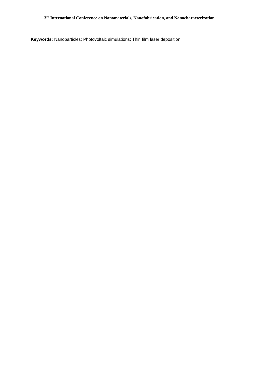**Keywords:** Nanoparticles; Photovoltaic simulations; Thin film laser deposition.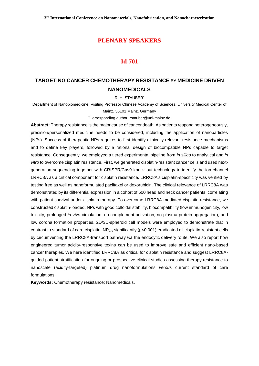## **PLENARY SPEAKERS**

#### **Id-701**

## **TARGETING CANCER CHEMOTHERAPY RESISTANCE BY MEDICINE DRIVEN NANOMEDICALS**

R. H. STAUBER\*

Department of Nanobiomedicine, Visiting Professor Chinese Academy of Sciences, University Medical Center of Mainz, 55101 Mainz, Germany

\*Corresponding author: rstauber@uni-mainz.de

**Abstract:** Therapy resistance is the major cause of cancer death. As patients respond heterogeneously, precision/personalized medicine needs to be considered, including the application of nanoparticles (NPs). Success of therapeutic NPs requires to first identify clinically relevant resistance mechanisms and to define key players, followed by a rational design of biocompatible NPs capable to target resistance. Consequently, we employed a tiered experimental pipeline from *in silico* to analytical and *in vitro* to overcome cisplatin resistance. First, we generated cisplatin-resistant cancer cells and used nextgeneration sequencing together with CRISPR/Cas9 knock-out technology to identify the ion channel LRRC8A as a critical component for cisplatin resistance. LRRC8A's cisplatin-specificity was verified by testing free as well as nanoformulated paclitaxel or doxorubicin. The clinical relevance of LRRC8A was demonstrated by its differential expression in a cohort of 500 head and neck cancer patients, correlating with patient survival under cisplatin therapy. To overcome LRRC8A-mediated cisplatin resistance, we constructed cisplatin-loaded, NPs with good colloidal stability, biocompatibility (low immunogenicity, low toxicity, prolonged *in vivo* circulation, no complement activation, no plasma protein aggregation), and low corona formation properties. 2D/3D-spheroid cell models were employed to demonstrate that in contrast to standard of care cisplatin,  $NP_{Cis}$  significantly ( $p<0.001$ ) eradicated all cisplatin-resistant cells by circumventing the LRRC8A-transport pathway *via* the endocytic delivery route. We also report how engineered tumor acidity-responsive toxins can be used to improve safe and efficient nano-based cancer therapies. We here identified LRRC8A as critical for cisplatin resistance and suggest LRRC8Aguided patient stratification for ongoing or prospective clinical studies assessing therapy resistance to nanoscale (acidity-targeted) platinum drug nanoformulations *versus* current standard of care formulations.

**Keywords:** Chemotherapy resistance; Nanomedicals.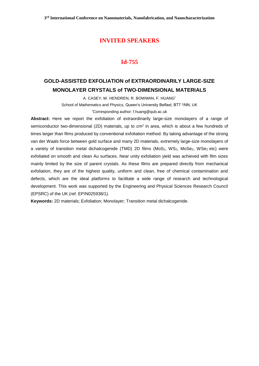## **Id-755**

## **GOLD-ASSISTED EXFOLIATION of EXTRAORDINARILY LARGE-SIZE MONOLAYER CRYSTALS of TWO-DIMENSIONAL MATERIALS**

A. CASEY, W. HENDREN, R. BOWMAN, F. HUANG\*

School of Mathematics and Physics, Queen's University Belfast, BT7 1NN, UK

\*Corresponding author: f.huang@qub.ac.uk

**Abstract:** Here we report the exfoliation of extraordinarily large-size monolayers of a range of semiconductor two-dimensional (2D) materials, up to  $\text{cm}^2$  in area, which is about a few hundreds of times larger than films produced by conventional exfoliation method. By taking advantage of the strong van der Waals force between gold surface and many 2D materials, extremely large-size monolayers of a variety of transition metal dichalcogenide (TMD) 2D films (MoS<sub>2</sub>, WS<sub>2</sub>, MoSe<sub>2</sub>, WSe<sub>2</sub> etc) were exfoliated on smooth and clean Au surfaces. Near unity exfoliation yield was achieved with film sizes mainly limited by the size of parent crystals. As these films are prepared directly from mechanical exfoliation, they are of the highest quality, uniform and clean, free of chemical contamination and defects, which are the ideal platforms to facilitate a wide range of research and technological development. This work was supported by the Engineering and Physical Sciences Research Council (EPSRC) of the UK (ref. EP/N025938/1).

**Keywords:** 2D materials; Exfoliation; Monolayer; Transition metal dichalcogenide.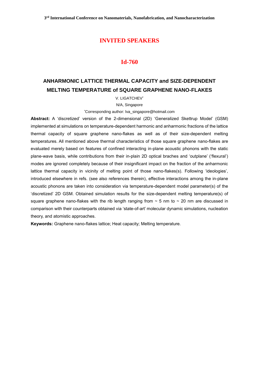## **Id-760**

## **ANHARMONIC LATTICE THERMAL CAPACITY and SIZE-DEPENDENT MELTING TEMPERATURE of SQUARE GRAPHENE NANO-FLAKES**

V. LIGATCHEV\*

N/A, Singapore

\*Corresponding author: lva\_singapore@hotmail.com

**Abstract:** A 'discretized' version of the 2-dimensional (2D) 'Generalized Skettrup Model' (GSM) implemented at simulations on temperature-dependent harmonic and anharmonic fractions of the lattice thermal capacity of square graphene nano-flakes as well as of their size-dependent melting temperatures. All mentioned above thermal characteristics of those square graphene nano-flakes are evaluated merely based on features of confined interacting in-plane acoustic phonons with the static plane-wave basis, while contributions from their in-plain 2D optical braches and 'outplane' ('flexural') modes are ignored completely because of their insignificant impact on the fraction of the anharmonic lattice thermal capacity in vicinity of melting point of those nano-flakes(s). Following 'ideologies', introduced elsewhere in refs. (see also references therein), effective interactions among the in-plane acoustic phonons are taken into consideration via temperature-dependent model parameter(s) of the 'discretized' 2D GSM. Obtained simulation results for the size-dependent melting temperature(s) of square graphene nano-flakes with the rib length ranging from  $\sim$  5 nm to  $\sim$  20 nm are discussed in comparison with their counterparts obtained via 'state-of-art' molecular dynamic simulations, nucleation theory, and atomistic approaches.

**Keywords:** Graphene nano-flakes lattice; Heat capacity; Melting temperature.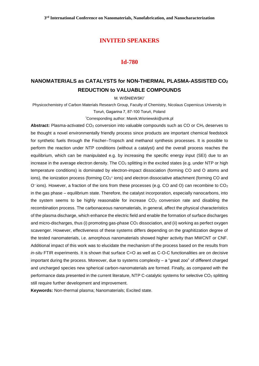#### **Id-780**

## **NANOMATERIALS as CATALYSTS for NON-THERMAL PLASMA-ASSISTED CO<sup>2</sup> REDUCTION to VALUABLE COMPOUNDS**

M. WIŚNIEWSKI\*

Physicochemistry of Carbon Materials Research Group, Faculty of Chemistry, Nicolaus Copernicus University in Toruń, Gagarina 7, 87-100 Toruń, Poland

\*Corresponding author: Marek.Wisniewski@umk.pl

Abstract: Plasma-activated CO<sub>2</sub> conversion into valuable compounds such as CO or CH<sub>x</sub> deserves to be thought a novel environmentally friendly process since products are important chemical feedstock for synthetic fuels through the Fischer–Tropsch and methanol synthesis processes. It is possible to perform the reaction under NTP conditions (without a catalyst) and the overall process reaches the equilibrium, which can be manipulated e.g. by increasing the specific energy input (SEI) due to an increase in the average electron density. The  $CO<sub>2</sub>$  splitting in the excited states (e.g. under NTP or high temperature conditions) is dominated by electron-impact dissociation (forming CO and O atoms and ions), the ionization process (forming  $CO<sub>2</sub>$ + ions) and electron dissociative attachment (forming CO and O<sup>-</sup> ions). However, a fraction of the ions from these processes (e.g. CO and O) can recombine to CO<sub>2</sub> in the gas phase – equilibrium state. Therefore, the catalyst incorporation, especially nanocarbons, into the system seems to be highly reasonable for increase  $CO<sub>2</sub>$  conversion rate and disabling the recombination process. The carbonaceous nanomaterials, in general, affect the physical characteristics of the plasma discharge, which enhance the electric field and enable the formation of surface discharges and micro-discharges, thus (i) promoting gas-phase CO<sub>2</sub> dissociation, and (ii) working as perfect oxygen scavenger. However, effectiveness of these systems differs depending on the graphitization degree of the tested nanomaterials, i.e. amorphous nanomaterials showed higher activity than MWCNT or CNF. Additional impact of this work was to elucidate the mechanism of the process based on the results from *in-situ* FTIR experiments. It is shown that surface C=O as well as C-O-C functionalities are on decisive important during the process. Moreover, due to systems complexity – a "great zoo" of different charged and uncharged species new spherical carbon-nanomaterials are formed. Finally, as compared with the performance data presented in the current literature, NTP C-catalytic systems for selective CO<sub>2</sub> splitting still require further development and improvement.

**Keywords:** Non-thermal plasma; Nanomaterials; Excited state.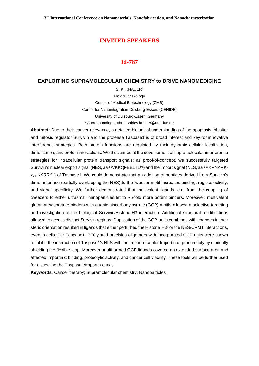#### **Id-787**

#### **EXPLOITING SUPRAMOLECULAR CHEMISTRY to DRIVE NANOMEDICINE**

S. K. KNAUER\* Molecular Biology Center of Medical Biotechnology (ZMB) Center for Nanointegration Duisburg-Essen, (CENIDE) University of Duisburg-Essen, Germany \*Corresponding author: shirley.knauer@uni-due.de

**Abstract:** Due to their cancer relevance, a detailed biological understanding of the apoptosis inhibitor and mitosis regulator Survivin and the protease Taspase1 is of broad interest and key for innovative interference strategies. Both protein functions are regulated by their dynamic cellular localization, dimerization, and protein interactions. We thus aimed at the development of supramolecular interference strategies for intracellular protein transport signals; as proof-of-concept, we successfully targeted Survivin's nuclear export signal (NES, aa <sup>89</sup>VKKQFEELTL<sup>98</sup>) and the import signal (NLS, aa <sup>197</sup>KRNKRKx14-KKRR<sup>220</sup>) of Taspase1. We could demonstrate that an addition of peptides derived from Survivin's dimer interface (partially overlapping the NES) to the tweezer motif increases binding, regioselectivity, and signal specificity. We further demonstrated that multivalent ligands, e.g. from the coupling of tweezers to either ultrasmall nanoparticles let to ~5-fold more potent binders. Moreover, multivalent glutamate/aspartate binders with guanidiniocarbonylpyrrole (GCP) motifs allowed a selective targeting and investigation of the biological Survivin/Histone H3 interaction. Additional structural modifications allowed to access distinct Survivin regions: Duplication of the GCP-units combined with changes in their steric orientation resulted in ligands that either perturbed the Histone H3- or the NES/CRM1 interactions, even in cells. For Taspase1, PEGylated precision oligomers with incorporated GCP units were shown to inhibit the interaction of Taspase1's NLS with the import receptor Importin α, presumably by sterically shielding the flexible loop. Moreover, multi-armed GCP-ligands covered an extended surface area and affected Importin α binding, proteolytic activity, and cancer cell viability. These tools will be further used for dissecting the Taspase1/Importin α axis.

**Keywords:** Cancer therapy; Supramolecular chemistry; Nanoparticles.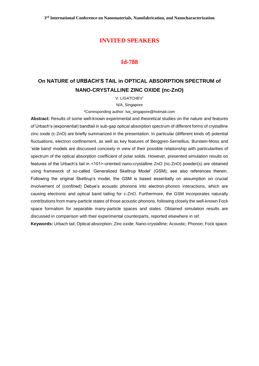#### **Id-788**

## **On NATURE of URBACH'S TAIL in OPTICAL ABSORPTION SPECTRUM of NANO-CRYSTALLINE ZINC OXIDE (nc-ZnO)**

V. LIGATCHEV\*

N/A, Singapore

\*Corresponding author: lva\_singapore@hotmail.com

**Abstract:** Results of some well-known experimental and theoretical studies on the nature and features of Urbach's (exponential) bandtail in sub-gap optical absorption spectrum of different forms of crystalline zinc oxide (c-ZnO) are briefly summarized in the presentation. In particular (different kinds of) potential fluctuations, electron confinement, as well as key features of Berggren-Sernellius, Burstein-Moss and 'side band' models are discussed concisely in view of their possible relationship with particularities of spectrum of the optical absorption coefficient of polar solids. However, presented simulation results on features of the Urbach's tail in <101>-oriented nano-crystalline ZnO (nc-ZnO) powder(s) are obtained using framework of so-called 'Generalized Skettrup Model' (GSM); see also references therein. Following the original Skettrup's model, the GSM is based essentially on assumption on crucial involvement of (confined) Debye's acoustic phonons into electron-phonon interactions, which are causing electronic and optical band tailing for c-ZnO. Furthermore, the GSM incorporates naturally contributions from many-particle states of those acoustic phonons, following closely the well-known Fock space formalism for separable many-particle spaces and states. Obtained simulation results are discussed in comparison with their experimental counterparts, reported elsewhere in ref.

**Keywords:** Urbach tail; Optical absorption; Zinc oxide; Nano-crystalline; Acoustic; Phonon; Fock space.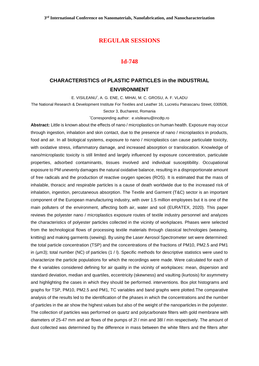#### **Id-748**

## **CHARACTERISTICS of PLASTIC PARTICLES in the INDUSTRIAL ENVIRONMENT**

E. VISILEANU\* , A. G. ENE, C. MIHAI, M. C. GROSU, A. F. VLADU

The National Research & Development Institute For Textiles and Leather 16, Lucretiu Patrascanu Street, 030508, Sector 3, Bucharest, Romania

\*Corresponding author: [e.visileanu@incdtp.ro](mailto:e.visileanu@incdtp.ro)

**Abstract:** Little is known about the effects of nano / microplastics on human health. Exposure may occur through ingestion, inhalation and skin contact, due to the presence of nano / microplastics in products, food and air. In all biological systems, exposure to nano / microplastics can cause particulate toxicity, with oxidative stress, inflammatory damage, and increased absorption or translocation. Knowledge of nano/microplastic toxicity is still limited and largely influenced by exposure concentration, particulate properties, adsorbed contaminants, tissues involved and individual susceptibility. Occupational exposure to PM unevenly damages the natural oxidative balance, resulting in a disproportionate amount of free radicals and the production of reactive oxygen species (ROS). It is estimated that the mass of inhalable, thoracic and respirable particles is a cause of death worldwide due to the increased risk of inhalation, ingestion, percutaneous absorption. The Textile and Garment (T&C) sector is an important component of the European manufacturing industry, with over 1.5 million employees but it is one of the main polluters of the environment, affecting both air, water and soil (EURATEX, 2020). This paper reviews the polyester nano / microplastics exposure routes of textile industry personnel and analyzes the characteristics of polyester particles collected in the vicinity of workplaces. Phases were selected from the technological flows of processing textile materials through classical technologies (weaving, knitting) and making garments (sewing). By using the Laser Aerosol Spectrometer set were determined: the total particle concentration (TSP) and the concentrations of the fractions of PM10, PM2.5 and PM1 in (µm3); total number (NC) of particles (1 / l). Specific methods for descriptive statistics were used to characterize the particle populations for which the recordings were made. Were calculated for each of the 4 variables considered defining for air quality in the vicinity of workplaces: mean, dispersion and standard deviation, median and quartiles, eccentricity (skewness) and vaulting (kurtosis) for asymmetry and highlighting the cases in which they should be performed. interventions. Box plot histograms and graphs for TSP, PM10, PM2.5 and PM1, TC variables and band graphs were plotted.The comparative analysis of the results led to the identification of the phases in which the concentrations and the number of particles in the air show the highest values but also of the weight of the nanoparticles in the polyester. The collection of particles was performed on quartz and polycarbonate filters with gold membrane with diameters of 25-47 mm and air flows of the pumps of 2l / min and 38l / min respectively. The amount of dust collected was determined by the difference in mass between the white filters and the filters after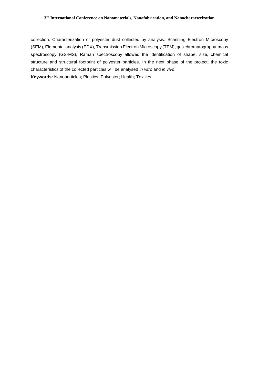#### **3 rd International Conference on Nanomaterials, Nanofabrication, and Nanocharacterization**

collection. Characterization of polyester dust collected by analysis: Scanning Electron Microscopy (SEM), Elemental analysis (EDX), Transmission Electron Microscopy (TEM), gas chromatography-mass spectroscopy (GS-MS), Raman spectroscopy allowed the identification of shape, size, chemical structure and structural footprint of polyester particles. In the next phase of the project, the toxic characteristics of the collected particles will be analysed *in vitro* and *in vivo*. **Keywords:** Nanoparticles; Plastics; Polyester; Health; Textiles.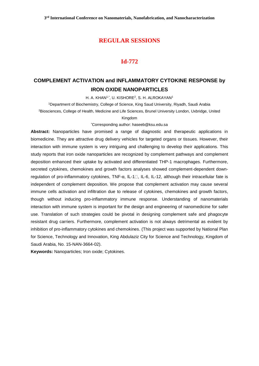## **Id-772**

## **COMPLEMENT ACTIVATION and INFLAMMATORY CYTOKINE RESPONSE by IRON OXIDE NANOPARTICLES**

H. A. KHAN1,\*, U. KISHORE<sup>2</sup>, S. H. ALROKAYAN1

<sup>1</sup>Department of Biochemistry, College of Science, King Saud University, Riyadh, Saudi Arabia

<sup>2</sup>Biosciences, College of Health, Medicine and Life Sciences, Brunel University London, Uxbridge, United

#### Kingdom

\*Corresponding author: haseeb@ksu.edu.sa

**Abstract:** Nanoparticles have promised a range of diagnostic and therapeutic applications in biomedicine. They are attractive drug delivery vehicles for targeted organs or tissues. However, their interaction with immune system is very intriguing and challenging to develop their applications. This study reports that iron oxide nanoparticles are recognized by complement pathways and complement deposition enhanced their uptake by activated and differentiated THP-1 macrophages. Furthermore, secreted cytokines, chemokines and growth factors analyses showed complement-dependent downregulation of pro-inflammatory cytokines, TNF-α, IL-1<sup>[]</sup>, IL-6, IL-12, although their intracellular fate is independent of complement deposition. We propose that complement activation may cause several immune cells activation and infiltration due to release of cytokines, chemokines and growth factors, though without inducing pro-inflammatory immune response. Understanding of nanomaterials interaction with immune system is important for the design and engineering of nanomedicine for safer use. Translation of such strategies could be pivotal in designing complement safe and phagocyte resistant drug carriers. Furthermore, complement activation is not always detrimental as evident by inhibition of pro-inflammatory cytokines and chemokines. (This project was supported by National Plan for Science, Technology and Innovation, King Abdulaziz City for Science and Technology, Kingdom of Saudi Arabia, No. 15-NAN-3664-02).

**Keywords:** Nanoparticles; Iron oxide; Cytokines.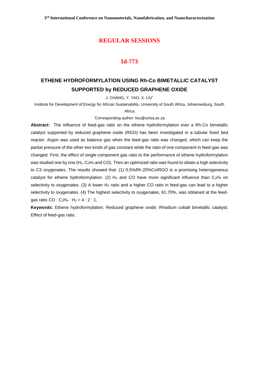## **Id-773**

## **ETHENE HYDROFORMYLATION USING Rh-Co BIMETALLIC CATALYST SUPPORTED by REDUCED GRAPHENE OXIDE**

J. CHANG, Y. YAO, X. LIU\*

Institute for Development of Energy for African Sustainability, University of South Africa, Johannesburg, South

#### Africa

\*Corresponding author: [liux@unisa.ac.za](mailto:liux@unisa.ac.za)

**Abstract:** The influence of feed-gas ratio on the ethene hydroformylation over a Rh-Co bimetallic catalyst supported by reduced graphene oxide (RGO) has been investigated in a tubular fixed bed reactor. Argon was used as balance gas when the feed-gas ratio was changed, which can keep the partial pressure of the other two kinds of gas constant while the ratio of one component in feed-gas was changed. First, the effect of single component gas ratio to the performance of ethene hydroformylation was studied one by one (H<sub>2</sub>, C<sub>2</sub>H<sub>4</sub> and CO). Then an optimized ratio was found to obtain a high selectivity to C3 oxygenates. The results showed that: (1) 0.5%Rh-20%Co/RGO is a promising heterogeneous catalyst for ethene hydroformylation. (2)  $H_2$  and CO have more significant influence than C<sub>2</sub>H<sub>4</sub> on selectivity to oxygenates. (3) A lower  $H_2$  ratio and a higher CO ratio in feed-gas can lead to a higher selectivity to oxygenates. (4) The highest selectivity to oxygenates, 61.70%, was obtained at the feedgas ratio CO :  $C_2H_4$  :  $H_2 = 4$  : 2 : 1.

**Keywords:** Ethene hydroformylation; Reduced graphene oxide; Rhodium cobalt bimetallic catalyst; Effect of feed-gas ratio.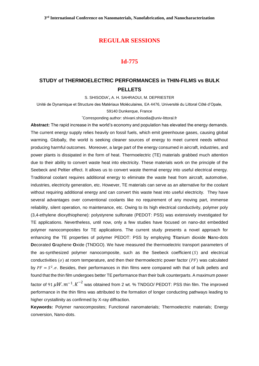#### **Id-775**

## **STUDY of THERMOELECTRIC PERFORMANCES in THIN-FILMS vs BULK PELLETS**

S. SHISODIA\* **,** A. H. SAHRAOUI, M. DEPRIESTER

Unité de Dynamique et Structure des Matériaux Moléculaires, EA 4476, Université du Littoral Côté d'Opale,

59140 Dunkerque, France

\*[Corresponding author: shivani.shisodia@univ-littoral.fr](mailto:*Corresponding%20author:%20shivani.shisodia@univ-littoral.fr)

**Abstract:** The rapid increase in the world's economy and population has elevated the energy demands. The current energy supply relies heavily on fossil fuels, which emit greenhouse gases, causing global warming. Globally, the world is seeking cleaner sources of energy to meet current needs without producing harmful outcomes. Moreover, a large part of the energy consumed in aircraft, industries, and power plants is dissipated in the form of heat. Thermoelectric (TE) materials grabbed much attention due to their ability to convert waste heat into electricity. These materials work on the principle of the Seebeck and Peltier effect. It allows us to convert waste thermal energy into useful electrical energy. Traditional coolant requires additional energy to eliminate the waste heat from aircraft, automotive, industries, electricity generation, etc. However, TE materials can serve as an alternative for the coolant without requiring additional energy and can convert this waste heat into useful electricity. They have several advantages over conventional coolants like no requirement of any moving part, immense reliability, silent operation, no maintenance, etc. Owing to its high electrical conductivity, polymer poly (3,4-ethylene dioxythiophene): polystyrene sulfonate (PEDOT: PSS) was extensively investigated for TE applications. Nevertheless, until now, only a few studies have focused on nano-dot embedded polymer nanocomposites for TE applications. The current study presents a novel approach for enhancing the TE properties of polymer PEDOT: PSS by employing **T**itanium dioxide **N**ano-dots **D**ecorated **G**raphene **O**xide (TNDGO). We have measured the thermoelectric transport parameters of the as-synthesized polymer nanocomposite, such as the Seebeck coefficient  $(S)$  and electrical conductivities ( $\sigma$ ) at room temperature, and then their thermoelectric power factor (PF) was calculated by  $PF = S^2 \sigma$ . Besides, their performances in thin films were compared with that of bulk pellets and found that the thin film undergoes better TE performance than their bulk counterparts. A maximum power factor of 91  $\mu W .m^{-1} .K^{-2}$  was obtained from 2 wt. % TNDGO/ PEDOT: PSS thin film. The improved performance in the thin films was attributed to the formation of longer conducting pathways leading to higher crystallinity as confirmed by X-ray diffraction.

**Keywords:** Polymer nanocomposites; Functional nanomaterials; Thermoelectric materials; Energy conversion, Nano-dots.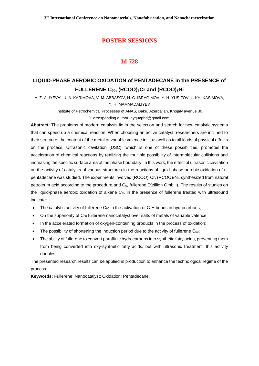## **Id-728**

## **LIQUID-PHASE AEROBIC OXIDATION of PENTADECANE in the PRESENCE of FULLERENE C60, (RCOO)3Cr and (RCOO)2Ni**

A. Z. ALIYEVA\* , U. A. KARIMOVA, V. M. ABBASOV, H. C. IBRAGIMOV, Y. H. YUSIFOV, L. KH. KASIMOVA, Y. H. MAMMADALIYEV

> Institute of Petrochemical Processes of ANAS, Baku, Azerbaijan, Khojaly avenue 30 \*Corresponding author: [aygunphd@gmail.com](mailto:aygunphd@gmail.com)

**Abstract:** The problems of modern catalysis lie in the selection and search for new catalytic systems that can speed up a chemical reaction. When choosing an active catalyst, researchers are inclined to their structure, the content of the metal of variable valence in it, as well as to all kinds of physical effects on the process. Ultrasonic cavitation (USC), which is one of these possibilities, promotes the acceleration of chemical reactions by realizing the multiple possibility of intermolecular collisions and increasing the specific surface area of the phase boundary. In this work, the effect of ultrasonic cavitation on the activity of catalysts of various structures in the reactions of liquid-phase aerobic oxidation of npentadecane was studied. The experiments involved (RCOO)3Cr, (RCOO)<sub>2</sub>Ni, synthesized from natural petroleum acid according to the procedure and  $C_{60}$  fullerene (Xzillion GmbH). The results of studies on the liquid-phase aerobic oxidation of alkane  $C_{15}$  in the presence of fullerene treated with ultrasound indicate:

- The catalytic activity of fullerene  $C_{60}$  in the activation of C-H bonds in hydrocarbons;
- On the superiority of  $C_{60}$  fullerene nanocatalyst over salts of metals of variable valence;
- In the accelerated formation of oxygen-containing products in the process of oxidation;
- The possibility of shortening the induction period due to the activity of fullerene C<sub>60</sub>;
- The ability of fullerene to convert paraffinic hydrocarbons into synthetic fatty acids, preventing them from being converted into oxy-synthetic fatty acids, but with ultrasonic treatment, this activity doubles.

The presented research results can be applied in production to enhance the technological regime of the process.

**Keywords:** Fullerene; Nanocatalyst; Oxidation; Pentadecane.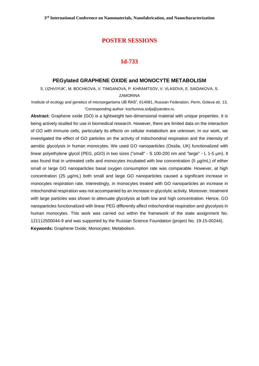## **Id-733**

#### **PEGylated GRAPHENE OXIDE and MONOCYTE METABOLISM**

S. UZHVIYUK\* , M. BOCHKOVA, V. TIMGANOVA, P. KHRAMTSOV, V. VLASOVA, E. SAIDAKOVA, S. **ZAMORINA** 

Institute of ecology and genetics of microorganisms UB RAS", 614081, Russian Federation, Perm, Goleva str, 13, \*Corresponding author: kochurova.sofja@yandex.ru

**Abstract:** Graphene oxide (GO) is a lightweight two-dimensional material with unique properties. It is being actively studied for use in biomedical research. However, there are limited data on the interaction of GO with immune cells, particularly its effects on cellular metabolism are unknown. In our work, we investigated the effect of GO particles on the activity of mitochondrial respiration and the intensity of aerobic glycolysis in human monocytes. We used GO nanoparticles (Ossila, UK) functionalized with linear polyethylene glycol (PEG, pGO) in two sizes ("small" - S 100-200 nm and "large" - L 1-5 μm). It was found that in untreated cells and monocytes incubated with low concentration (5 μg/mL) of either small or large GO nanoparticles basal oxygen consumption rate was comparable. However, at high concentration (25 μg/mL) both small and large GO nanoparticles caused a significant increase in monocytes respiration rate. Interestingly, in monocytes treated with GO nanoparticles an increase in mitochondrial respiration was not accompanied by an increase in glycolytic activity. Moreover, treatment with large particles was shown to attenuate glycolysis at both low and high concentration. Hence, GO nanoparticles functionalized with linear PEG differently affect mitochondrial respiration and glycolysis in human monocytes. This work was carried out within the framework of the state assignment No. 121112500044-9 and was supported by the Russian Science Foundation (project No. 19-15-00244). **Keywords:** Graphene Oxide; Monocytes; Metabolism.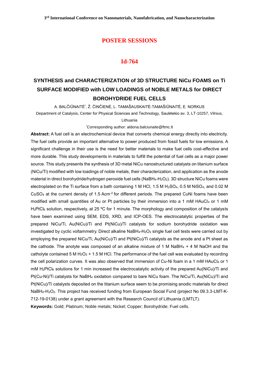#### **Id-764**

# **SYNTHESIS and CHARACTERIZATION of 3D STRUCTURE NiCu FOAMS on Ti SURFACE MODIFIED with LOW LOADINGS of NOBLE METALS for DIRECT BOROHYDRIDE FUEL CELLS**

A. BALČIŪNAITĖ̇́, Ž. ČINČIENĖ, L. TAMAŠAUSKAITĖ-TAMAŠIŪNAITĖ, E. NORKUS Department of Catalysis, Center for Physical Sciences and Technology, Saulėtekio av. 3, LT-10257, Vilnius, Lithuania

\*Corresponding author: aldona.balciunaite@ftmc.lt

**Abstract:** A fuel cell is an electrochemical device that converts chemical energy directly into electricity. The fuel cells provide an important alternative to power produced from fossil fuels for low emissions. A significant challenge in their use is the need for better materials to make fuel cells cost-effective and more durable. This study developments in materials to fulfill the potential of fuel cells as a major power source. This study presents the synthesis of 3D metal NiCu nanostructured catalysts on titanium surface (NiCu/Ti) modified with low loadings of noble metals, their characterization, and application as the anode material in direct borohydride/hydrogen peroxide fuel cells (NaBH<sub>4</sub>-H<sub>2</sub>O<sub>2</sub>). 3D structure NiCu foams were electroplated on the Ti surface from a bath containing 1 M HCl, 1.5 M H<sub>2</sub>SO<sub>4</sub>, 0.5 M NiSO<sub>4</sub>, and 0.02 M CuSO<sub>4</sub> at the current density of 1.5 Acm<sup>-2</sup> for different periods. The prepared CuNi foams have been modified with small quantities of Au or Pt particles by their immersion into a 1 mM HAuCl<sub>4</sub> or 1 mM H<sub>2</sub>PtCl<sub>6</sub> solution, respectively, at 25 °C for 1 minute. The morphology and composition of the catalysts have been examined using SEM, EDS, XRD, and ICP-OES. The electrocatalytic properties of the prepared NiCu/Ti, Au(NiCu)/Ti and Pt(NiCu)/Ti catalysts for sodium borohydride oxidаtion wаs investigated by cyclic voltammetry. Direct alkaline NaBH<sub>4</sub>-H<sub>2</sub>O<sub>2</sub> single fuel cell tests were carried out by employing the prepared NiCu/Ti, Au(NiCu)/Ti and Pt(NiCu)/Ti catalysts as the anode and a Pt sheet as the cathode. The anolyte was composed of an alkaline mixture of 1 M NaBH $_4$  + 4 M NaOH and the catholyte contained 5 M H<sub>2</sub>O<sub>2</sub> + 1.5 M HCl. The performance of the fuel cell was evaluated by recording the cell polarization curves. It was also observed that immersion of Cu-Ni foam in a 1 mM HAuCl4 or 1 mM H<sub>2</sub>PtCl<sub>6</sub> solutions for 1 min increased the electrocatalytic activity of the prepared Au(NiCu)/Ti and Pt(Cu-Ni)/Ti catalysts for NaBH<sup>4</sup> oxidation compared to bare NiCu foam. The NiCu/Ti, Au(NiCu)/Ti and Pt(NiCu)/Ti catalysts deposited on the titanium surface seem to be promising anodic materials for direct NaBH4-H2O2. This project has received funding from European Social Fund (project No 09.3.3-LMT-K-712-19-0138) under a grant agreement with the Research Council of Lithuania (LMTLT).

**Keywords:** Gold; Platinum; Noble metals; Nickel; Copper; Borohydride; Fuel cells.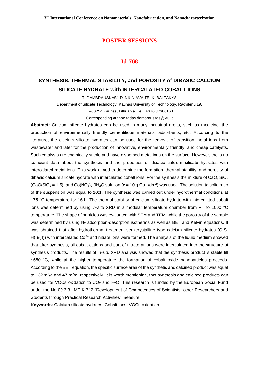#### **Id-768**

## **SYNTHESIS, THERMAL STABILITY, and POROSITY of DIBASIC CALCIUM SILICATE HYDRATE with INTERCALATED COBALT IONS**

T. DAMBRAUSKAS\* , D. NIUNIAVAITE, K. BALTAKYS

Department of Silicate Technology, Kaunas University of Technology, Radvilenu 19,

LT–50254 Kaunas, Lithuania. Tel.: +370 37300163.

Corresponding author: tadas.dambrauskas@ktu.lt

**Abstract:** Calcium silicate hydrates can be used in many industrial areas, such as medicine, the production of environmentally friendly cementitious materials, adsorbents, etc. According to the literature, the calcium silicate hydrates can be used for the removal of transition metal ions from wastewater and later for the production of innovative, environmentally friendly, and cheap catalysts. Such catalysts are chemically stable and have dispersed metal ions on the surface. However, the is no sufficient data about the synthesis and the properties of dibasic calcium silicate hydrates with intercalated metal ions. This work aimed to determine the formation, thermal stability, and porosity of dibasic calcium silicate hydrate with intercalated cobalt ions. For the synthesis the mixture of CaO, SiO<sub>2</sub>  $(CaO/SiO<sub>2</sub> = 1.5)$ , and  $Co(NO<sub>3</sub>)<sub>2</sub>·3H<sub>2</sub>O$  solution  $(c = 10 \text{ g } Co<sup>2+</sup>/dm<sup>3</sup>)$  was used. The solution to solid ratio of the suspension was equal to 10:1. The synthesis was carried out under hydrothermal conditions at 175 °C temperature for 16 h. The thermal stability of calcium silicate hydrate with intercalated cobalt ions was determined by using *in-situ* XRD in a modular temperature chamber from RT to 1000 °C temperature. The shape of particles was evaluated with SEM and TEM, while the porosity of the sample was determined by using N<sub>2</sub> adsorption-desorption isotherms as well as BET and Kelvin equations. It was obtained that after hydrothermal treatment semicrystalline type calcium silicate hydrates (C-S- $H(I)/(II)$ ) with intercalated Co<sup>2+</sup> and nitrate ions were formed. The analysis of the liquid medium showed that after synthesis, all cobalt cations and part of nitrate anions were intercalated into the structure of synthesis products. The results of in-situ XRD analysis showed that the synthesis product is stable till ~550 °C, while at the higher temperature the formation of cobalt oxide nanoparticles proceeds. According to the BET equation, the specific surface area of the synthetic and calcined product was equal to 132 m<sup>2</sup>/g and 47 m<sup>2</sup>/g, respectively. It is worth mentioning, that synthesis and calcined products can be used for VOCs oxidation to CO<sub>2</sub> and H<sub>2</sub>O. This research is funded by the European Social Fund under the No 09.3.3-LMT-K-712 "Development of Competences of Scientists, other Researchers and Students through Practical Research Activities" measure.

**Keywords:** Calcium silicate hydrates; Cobalt ions; VOCs oxidation.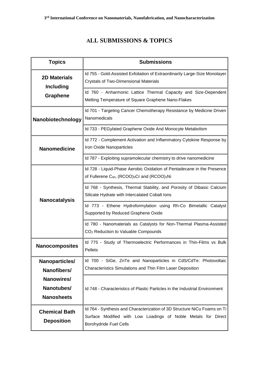# **ALL SUBMISSIONS & TOPICS**

| <b>Topics</b>                             | <b>Submissions</b>                                                                                                                                                         |
|-------------------------------------------|----------------------------------------------------------------------------------------------------------------------------------------------------------------------------|
| <b>2D Materials</b><br><b>Including</b>   | Id 755 - Gold-Assisted Exfoliation of Extraordinarily Large-Size Monolayer<br><b>Crystals of Two-Dimensional Materials</b>                                                 |
| <b>Graphene</b>                           | Id 760 - Anharmonic Lattice Thermal Capacity and Size-Dependent<br>Melting Temperature of Square Graphene Nano-Flakes                                                      |
| Nanobiotechnology                         | Id 701 - Targeting Cancer Chemotherapy Resistance by Medicine Driven<br>Nanomedicals                                                                                       |
|                                           | Id 733 - PEGylated Graphene Oxide And Monocyte Metabolism                                                                                                                  |
| <b>Nanomedicine</b>                       | Id 772 - Complement Activation and Inflammatory Cytokine Response by<br>Iron Oxide Nanoparticles                                                                           |
|                                           | Id 787 - Exploiting supramolecular chemistry to drive nanomedicine                                                                                                         |
| <b>Nanocatalysis</b>                      | Id 728 - Liquid-Phase Aerobic Oxidation of Pentadecane in the Presence<br>of Fullerene $C_{60}$ , (RCOO) <sub>3</sub> Cr and (RCOO) <sub>2</sub> Ni                        |
|                                           | Id 768 - Synthesis, Thermal Stability, and Porosity of Dibasic Calcium<br>Silicate Hydrate with Intercalated Cobalt Ions                                                   |
|                                           | Id 773 - Ethene Hydroformylation using Rh-Co Bimetallic Catalyst<br>Supported by Reduced Graphene Oxide                                                                    |
|                                           | Id 780 - Nanomaterials as Catalysts for Non-Thermal Plasma-Assisted<br>CO <sub>2</sub> Reduction to Valuable Compounds                                                     |
| <b>Nanocomposites</b>                     | Id 775 - Study of Thermoelectric Performances in Thin-Films vs Bulk<br>Pellets                                                                                             |
| Nanoparticles/                            | Id 700 - SiGe, ZnTe and Nanoparticles in CdS/CdTe: Photovoltaic                                                                                                            |
| Nanofibers/                               | Characteristics Simulations and Thin Film Laser Deposition                                                                                                                 |
| Nanowires/                                |                                                                                                                                                                            |
| Nanotubes/<br><b>Nanosheets</b>           | Id 748 - Characteristics of Plastic Particles in the Industrial Environment                                                                                                |
| <b>Chemical Bath</b><br><b>Deposition</b> | Id 764 - Synthesis and Characterization of 3D Structure NiCu Foams on Ti<br>Surface Modified with Low Loadings of Noble Metals for Direct<br><b>Borohydride Fuel Cells</b> |